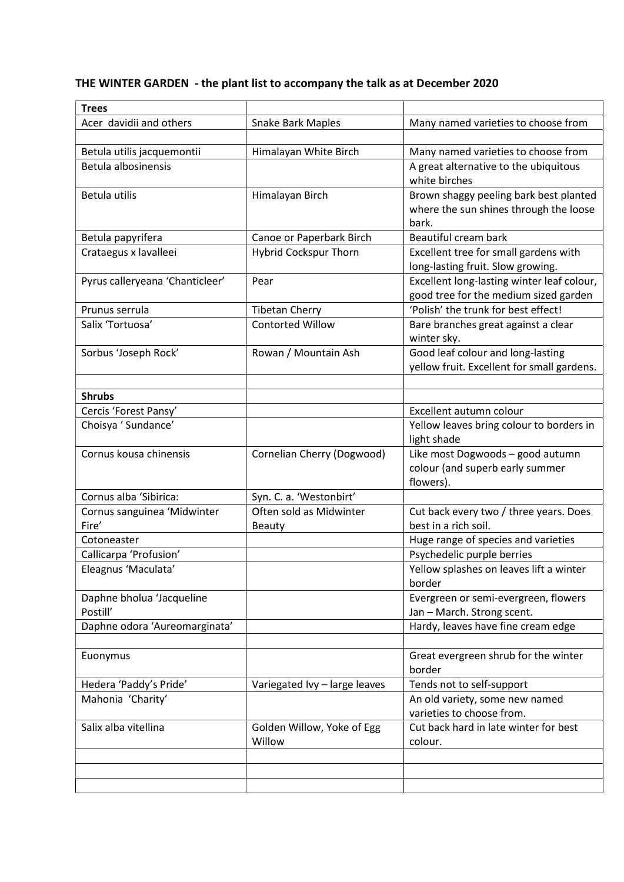## THE WINTER GARDEN - the plant list to accompany the talk as at December 2020

| <b>Trees</b>                    |                               |                                            |
|---------------------------------|-------------------------------|--------------------------------------------|
| Acer davidii and others         | <b>Snake Bark Maples</b>      | Many named varieties to choose from        |
|                                 |                               |                                            |
| Betula utilis jacquemontii      | Himalayan White Birch         | Many named varieties to choose from        |
| Betula albosinensis             |                               | A great alternative to the ubiquitous      |
|                                 |                               | white birches                              |
| Betula utilis                   | Himalayan Birch               | Brown shaggy peeling bark best planted     |
|                                 |                               | where the sun shines through the loose     |
|                                 |                               | bark.                                      |
| Betula papyrifera               | Canoe or Paperbark Birch      | Beautiful cream bark                       |
| Crataegus x lavalleei           | <b>Hybrid Cockspur Thorn</b>  | Excellent tree for small gardens with      |
|                                 |                               | long-lasting fruit. Slow growing.          |
| Pyrus calleryeana 'Chanticleer' | Pear                          | Excellent long-lasting winter leaf colour, |
|                                 |                               | good tree for the medium sized garden      |
| Prunus serrula                  | <b>Tibetan Cherry</b>         | 'Polish' the trunk for best effect!        |
| Salix 'Tortuosa'                | <b>Contorted Willow</b>       | Bare branches great against a clear        |
|                                 |                               | winter sky.                                |
| Sorbus 'Joseph Rock'            | Rowan / Mountain Ash          | Good leaf colour and long-lasting          |
|                                 |                               | yellow fruit. Excellent for small gardens. |
|                                 |                               |                                            |
| <b>Shrubs</b>                   |                               |                                            |
| Cercis 'Forest Pansy'           |                               | Excellent autumn colour                    |
| Choisya ' Sundance'             |                               | Yellow leaves bring colour to borders in   |
|                                 |                               | light shade                                |
| Cornus kousa chinensis          | Cornelian Cherry (Dogwood)    | Like most Dogwoods - good autumn           |
|                                 |                               | colour (and superb early summer            |
|                                 |                               | flowers).                                  |
| Cornus alba 'Sibirica:          | Syn. C. a. 'Westonbirt'       |                                            |
| Cornus sanguinea 'Midwinter     | Often sold as Midwinter       | Cut back every two / three years. Does     |
| Fire'                           | <b>Beauty</b>                 | best in a rich soil.                       |
| Cotoneaster                     |                               | Huge range of species and varieties        |
| Callicarpa 'Profusion'          |                               | Psychedelic purple berries                 |
| Eleagnus 'Maculata'             |                               | Yellow splashes on leaves lift a winter    |
|                                 |                               | border                                     |
| Daphne bholua 'Jacqueline       |                               | Evergreen or semi-evergreen, flowers       |
| Postill'                        |                               | Jan - March. Strong scent.                 |
| Daphne odora 'Aureomarginata'   |                               | Hardy, leaves have fine cream edge         |
|                                 |                               |                                            |
| Euonymus                        |                               | Great evergreen shrub for the winter       |
|                                 |                               | border                                     |
| Hedera 'Paddy's Pride'          | Variegated Ivy - large leaves | Tends not to self-support                  |
| Mahonia 'Charity'               |                               | An old variety, some new named             |
|                                 |                               | varieties to choose from.                  |
| Salix alba vitellina            | Golden Willow, Yoke of Egg    | Cut back hard in late winter for best      |
|                                 | Willow                        | colour.                                    |
|                                 |                               |                                            |
|                                 |                               |                                            |
|                                 |                               |                                            |